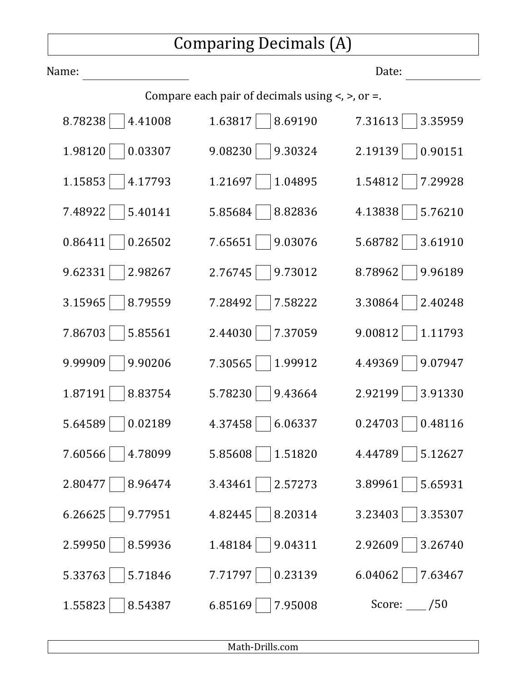## Comparing Decimals (A)

| Name:              |                                                           | Date:        |
|--------------------|-----------------------------------------------------------|--------------|
|                    | Compare each pair of decimals using $\lt$ , $\gt$ , or =. |              |
| 8.78238            | 1.63817                                                   | 7.31613      |
| 4.41008            | 8.69190                                                   | 3.35959      |
| 1.98120            | 9.08230                                                   | 2.19139      |
| 0.03307            | 9.30324                                                   | 0.90151      |
| 1.15853            | 1.21697                                                   | 1.54812      |
| 4.17793            | 1.04895                                                   | 7.29928      |
| 7.48922            | 5.85684                                                   | 4.13838      |
| 5.40141            | 8.82836                                                   | 5.76210      |
| 0.86411            | 7.65651                                                   | 5.68782      |
| 0.26502            | 9.03076                                                   | 3.61910      |
| 9.62331            | 2.76745                                                   | 8.78962      |
| 2.98267            | 9.73012                                                   | 9.96189      |
| 3.15965            | 7.28492                                                   | 3.30864      |
| 8.79559            | 7.58222                                                   | 2.40248      |
| 7.86703            | 2.44030                                                   | 9.00812      |
| 5.85561            | 7.37059                                                   | 1.11793      |
| 9.99909            | 7.30565                                                   | 9.07947      |
| 9.90206            | 1.99912                                                   | 4.49369      |
| 1.87191            | 5.78230                                                   | 2.92199      |
| 8.83754            | 9.43664                                                   | 3.91330      |
| 5.64589            | 4.37458                                                   | 0.24703      |
| 0.02189            | 6.06337                                                   | 0.48116      |
| 7.60566            | 5.85608                                                   | 4.44789      |
| 4.78099            | 1.51820                                                   | 5.12627      |
| 2.80477            | 3.43461                                                   | 3.89961      |
| 8.96474            | 2.57273                                                   | 5.65931      |
| 6.26625            | 4.82445                                                   | 3.23403      |
| 9.77951            | 8.20314                                                   | 3.35307      |
| 2.59950            | 1.48184                                                   | 2.92609      |
| 8.59936            | 9.04311                                                   | 3.26740      |
| 5.33763            | 7.71797                                                   | 6.04062      |
| 5.71846            | 0.23139                                                   | 7.63467      |
| 1.55823<br>8.54387 | 6.85169<br>7.95008                                        | Score: $/50$ |

Math-Drills.com